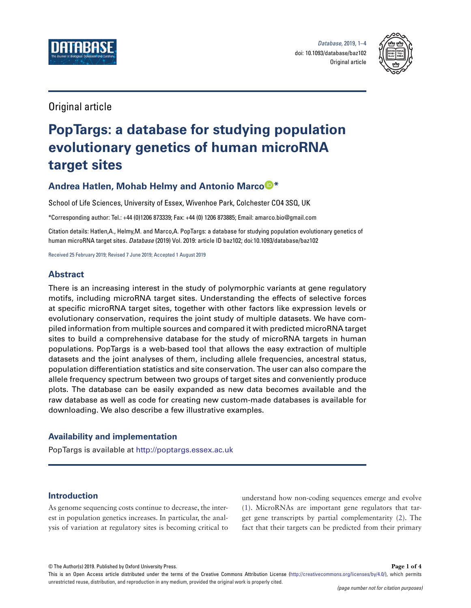

Database, 2019, 1–4 doi: 10.1093/database/baz102 Original article



Original article

# **PopTargs: a database for studying population evolutionary genetics of human microRNA target sites**

# **Andrea Hatlen, Mohab Helmy and Antonio Marc[o](http://orcid.org/0000-0002-8603-7503) \***

School of Life Sciences, University of Essex, Wivenhoe Park, Colchester CO4 3SQ, UK

\*Corresponding author: Tel.: +44 (0)1206 873339; Fax: +44 (0) 1206 873885; Email: amarco.bio@gmail.com

Citation details: Hatlen,A., Helmy,M. and Marco,A. PopTargs: a database for studying population evolutionary genetics of human microRNA target sites. Database (2019) Vol. 2019: article ID baz102; doi:10.1093/database/baz102

Received 25 February 2019; Revised 7 June 2019; Accepted 1 August 2019

# **Abstract**

There is an increasing interest in the study of polymorphic variants at gene regulatory motifs, including microRNA target sites. Understanding the effects of selective forces at specific microRNA target sites, together with other factors like expression levels or evolutionary conservation, requires the joint study of multiple datasets. We have compiled information from multiple sources and compared it with predicted microRNA target sites to build a comprehensive database for the study of microRNA targets in human populations. PopTargs is a web-based tool that allows the easy extraction of multiple datasets and the joint analyses of them, including allele frequencies, ancestral status, population differentiation statistics and site conservation. The user can also compare the allele frequency spectrum between two groups of target sites and conveniently produce plots. The database can be easily expanded as new data becomes available and the raw database as well as code for creating new custom-made databases is available for downloading. We also describe a few illustrative examples.

# **Availability and implementation**

PopTargs is available at <http://><poptargs.essex.ac.uk>

# **Introduction**

As genome sequencing costs continue to decrease, the interest in population genetics increases. In particular, the analysis of variation at regulatory sites is becoming critical to understand how non-coding sequences emerge and evolve [\(1\)](#page-3-0). MicroRNAs are important gene regulators that target gene transcripts by partial complementarity [\(2\)](#page-3-1). The fact that their targets can be predicted from their primary

© The Author(s) 2019. Published by Oxford University Press. **Page 1 of 4**

This is an Open Access article distributed under the terms of the Creative Commons Attribution License [\(http://creativecommons.org/licenses/by/4.0/\)](http://creativecommons.org/licenses/by/4.0/), which permits unrestricted reuse, distribution, and reproduction in any medium, provided the original work is properly cited.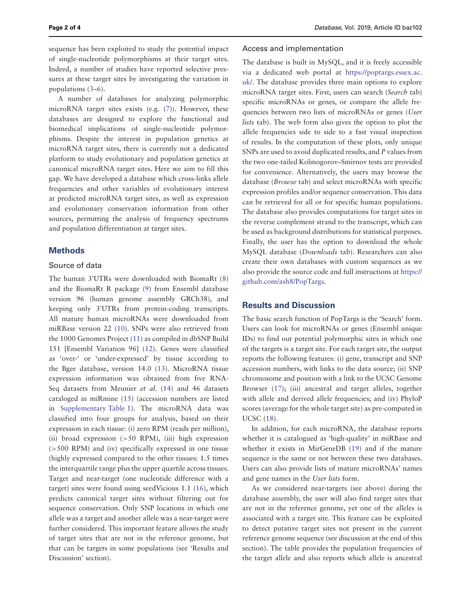sequence has been exploited to study the potential impact of single-nucleotide polymorphisms at their target sites. Indeed, a number of studies have reported selective pressures at these target sites by investigating the variation in populations [\(3](#page-3-2)[–6\)](#page-3-3).

A number of databases for analyzing polymorphic microRNA target sites exists (e.g. [\(7\)](#page-3-4)). However, these databases are designed to explore the functional and biomedical implications of single-nucleotide polymorphisms. Despite the interest in population genetics at microRNA target sites, there is currently not a dedicated platform to study evolutionary and population genetics at canonical microRNA target sites. Here we aim to fill this gap. We have developed a database which cross-links allele frequencies and other variables of evolutionary interest at predicted microRNA target sites, as well as expression and evolutionary conservation information from other sources, permitting the analysis of frequency spectrums and population differentiation at target sites.

## **Methods**

## Source of data

The human 3'UTRs were downloaded with BiomaRt [\(8\)](#page-3-5) and the BiomaRt R package [\(9\)](#page-3-6) from Ensembl database version 96 (human genome assembly GRCh38), and keeping only 3'UTRs from protein-coding transcripts. All mature human microRNAs were downloaded from miRBase version 22 [\(10\)](#page-3-7). SNPs were also retrieved from the 1000 Genomes Project [\(11\)](#page-3-8) as compiled in dbSNP Build 151 [Ensembl Variation 96] [\(12\)](#page-3-9). Genes were classified as 'over-' or 'under-expressed' by tissue according to the Bgee database, version 14.0 [\(13\)](#page-3-10). MicroRNA tissue expression information was obtained from five RNA-Seq datasets from Meunier et al. [\(14\)](#page-3-11) and 46 datasets cataloged in miRmine [\(15\)](#page-3-12) (accession numbers are listed in [Supplementary Table 1\)](https://academic.oup.com/database/article-lookup/doi/10.1093/database/baz102#supplementary-data). The microRNA data was classified into four groups for analysis, based on their expression in each tissue: (i) zero RPM (reads per million), (ii) broad expression (*>*50 RPM), (iii) high expression (*>*500 RPM) and (iv) specifically expressed in one tissue (highly expressed compared to the other tissues: 1.5 times the interquartile range plus the upper quartile across tissues. Target and near-target (one nucleotide difference with a target) sites were found using seedVicious 1.1 [\(16\)](#page-3-13), which predicts canonical target sites without filtering out for sequence conservation. Only SNP locations in which one allele was a target and another allele was a near-target were further considered. This important feature allows the study of target sites that are not in the reference genome, but that can be targets in some populations (see 'Results and Discussion' section).

#### Access and implementation

The database is built in MySQL, and it is freely accessible via a dedicated web portal at [https://poptargs.essex.ac.](https://poptargs.essex.ac.uk/) [uk/.](https://poptargs.essex.ac.uk/) The database provides three main options to explore microRNA target sites. First, users can search (Search tab) specific microRNAs or genes, or compare the allele frequencies between two lists of microRNAs or genes (User lists tab). The web form also gives the option to plot the allele frequencies side to side to a fast visual inspection of results. In the computation of these plots, only unique SNPs are used to avoid duplicated results, and P values from the two one-tailed Kolmogorov–Smirnov tests are provided for convenience. Alternatively, the users may browse the database (Browse tab) and select microRNAs with specific expression profiles and/or sequence conservation. This data can be retrieved for all or for specific human populations. The database also provides computations for target sites in the reverse complement strand to the transcript, which can be used as background distributions for statistical purposes. Finally, the user has the option to download the whole MySQL database (Downloads tab). Researchers can also create their own databases with custom sequences as we also provide the source code and full instructions at [https://](https://github.com/ash8/PopTargs) [github.com/ash8/PopTargs.](https://github.com/ash8/PopTargs)

## **Results and Discussion**

The basic search function of PopTargs is the 'Search' form. Users can look for microRNAs or genes (Ensembl unique IDs) to find out potential polymorphic sites in which one of the targets is a target site. For each target site, the output reports the following features: (i) gene, transcript and SNP accession numbers, with links to the data source; (ii) SNP chromosome and position with a link to the UCSC Genome Browser [\(17\)](#page-3-14); (iii) ancestral and target alleles, together with allele and derived allele frequencies; and (iv) PhyloP scores (average for the whole target site) as pre-computed in UCSC [\(18\)](#page-3-15).

In addition, for each microRNA, the database reports whether it is catalogued as 'high-quality' in miRBase and whether it exists in MirGeneDB [\(19\)](#page-3-16) and if the mature sequence is the same or not between these two databases. Users can also provide lists of mature microRNAs' names and gene names in the User lists form.

As we considered near-targets (see above) during the database assembly, the user will also find target sites that are not in the reference genome, yet one of the alleles is associated with a target site. This feature can be exploited to detect putative target sites not present in the current reference genome sequence (see discussion at the end of this section). The table provides the population frequencies of the target allele and also reports which allele is ancestral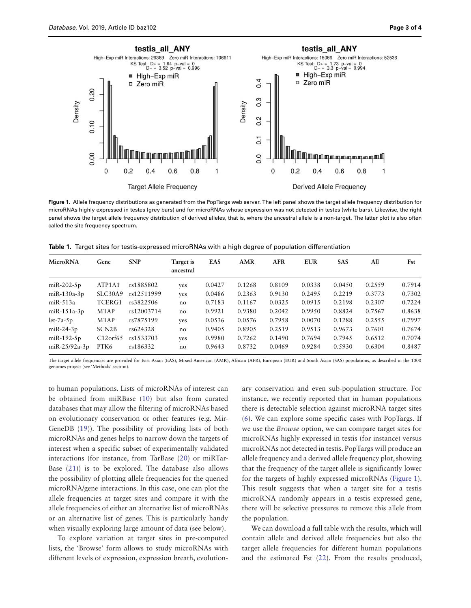

<span id="page-2-0"></span>**Figure 1.** Allele frequency distributions as generated from the PopTargs web server. The left panel shows the target allele frequency distribution for microRNAs highly expressed in testes (grey bars) and for microRNAs whose expression was not detected in testes (white bars). Likewise, the right panel shows the target allele frequency distribution of derived alleles, that is, where the ancestral allele is a non-target. The latter plot is also often called the site frequency spectrum.

<span id="page-2-1"></span>**Table 1.** Target sites for testis-expressed microRNAs with a high degree of population differentiation

| MicroRNA          | Gene               | <b>SNP</b> | Target is<br>ancestral | <b>EAS</b> | AMR    | <b>AFR</b> | <b>EUR</b> | <b>SAS</b> | All    | Fst    |
|-------------------|--------------------|------------|------------------------|------------|--------|------------|------------|------------|--------|--------|
| $mR-202-5p$       | ATP1A1             | rs1885802  | yes                    | 0.0427     | 0.1268 | 0.8109     | 0.0338     | 0.0450     | 0.2559 | 0.7914 |
| $m$ i $R-130a-3p$ | SLC30A9            | rs12511999 | yes                    | 0.0486     | 0.2363 | 0.9130     | 0.2495     | 0.2219     | 0.3773 | 0.7302 |
| $m$ i $R-513a$    | TCERG1             | rs3822506  | no                     | 0.7183     | 0.1167 | 0.0325     | 0.0915     | 0.2198     | 0.2307 | 0.7224 |
| $m$ i $R-151a-3p$ | <b>MTAP</b>        | rs12003714 | no                     | 0.9921     | 0.9380 | 0.2042     | 0.9950     | 0.8824     | 0.7567 | 0.8638 |
| $let$ -7a-5 $p$   | <b>MTAP</b>        | rs7875199  | yes                    | 0.0536     | 0.0576 | 0.7958     | 0.0070     | 0.1288     | 0.2555 | 0.7997 |
| $mR-24-3p$        | SCN <sub>2</sub> B | rs624328   | no                     | 0.9405     | 0.8905 | 0.2519     | 0.9513     | 0.9673     | 0.7601 | 0.7674 |
| $mR-192-5p$       | C12orf65           | rs1533703  | yes                    | 0.9980     | 0.7262 | 0.1490     | 0.7694     | 0.7945     | 0.6512 | 0.7074 |
| miR- $25/92a-3p$  | PTK6               | rs186332   | no                     | 0.9643     | 0.8732 | 0.0469     | 0.9284     | 0.5930     | 0.6304 | 0.8487 |
|                   |                    |            |                        |            |        |            |            |            |        |        |

The target allele frequencies are provided for East Asian (EAS), Mixed American (AMR), African (AFR), European (EUR) and South Asian (SAS) populations, as described in the 1000 genomes project (see 'Methods' section).

to human populations. Lists of microRNAs of interest can be obtained from miRBase [\(10\)](#page-3-7) but also from curated databases that may allow the filtering of microRNAs based on evolutionary conservation or other features (e.g. Mir-GeneDB [\(19\)](#page-3-16)). The possibility of providing lists of both microRNAs and genes helps to narrow down the targets of interest when a specific subset of experimentally validated interactions (for instance, from TarBase [\(20\)](#page-3-17) or miRTar-Base [\(21\)](#page-3-18)) is to be explored. The database also allows the possibility of plotting allele frequencies for the queried microRNA/gene interactions. In this case, one can plot the allele frequencies at target sites and compare it with the allele frequencies of either an alternative list of microRNAs or an alternative list of genes. This is particularly handy when visually exploring large amount of data (see below).

To explore variation at target sites in pre-computed lists, the 'Browse' form allows to study microRNAs with different levels of expression, expression breath, evolutionary conservation and even sub-population structure. For instance, we recently reported that in human populations there is detectable selection against microRNA target sites [\(6\)](#page-3-3). We can explore some specific cases with PopTargs. If we use the Browse option, we can compare target sites for microRNAs highly expressed in testis (for instance) versus microRNAs not detected in testis. PopTargs will produce an allele frequency and a derived allele frequency plot, showing that the frequency of the target allele is significantly lower for the targets of highly expressed microRNAs [\(Figure 1\)](#page-2-0). This result suggests that when a target site for a testis microRNA randomly appears in a testis expressed gene, there will be selective pressures to remove this allele from the population.

We can download a full table with the results, which will contain allele and derived allele frequencies but also the target allele frequencies for different human populations and the estimated Fst [\(22\)](#page-3-19). From the results produced,